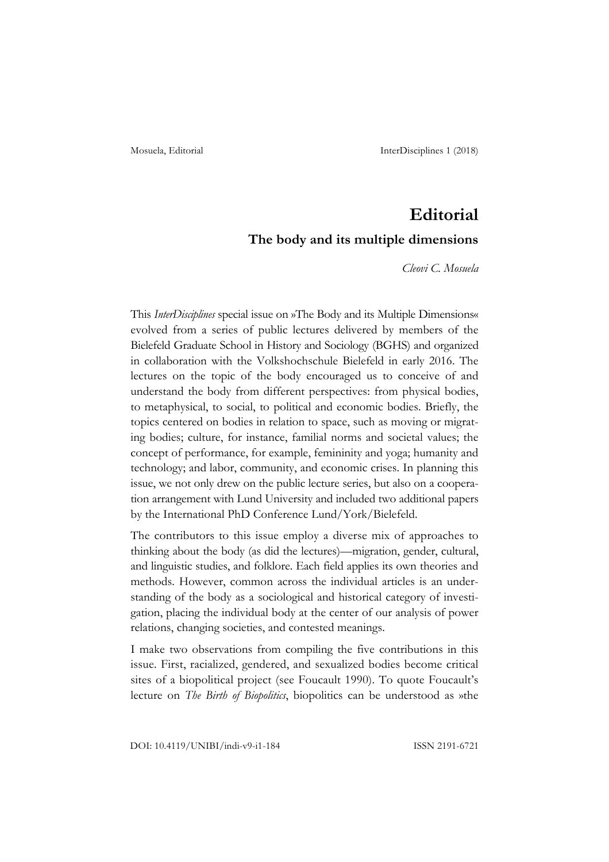## **Editorial**

## **The body and its multiple dimensions**

*Cleovi C. Mosuela*

This *InterDisciplines* special issue on »The Body and its Multiple Dimensions« evolved from a series of public lectures delivered by members of the Bielefeld Graduate School in History and Sociology (BGHS) and organized in collaboration with the Volkshochschule Bielefeld in early 2016. The lectures on the topic of the body encouraged us to conceive of and understand the body from different perspectives: from physical bodies, to metaphysical, to social, to political and economic bodies. Briefly, the topics centered on bodies in relation to space, such as moving or migrating bodies; culture, for instance, familial norms and societal values; the concept of performance, for example, femininity and yoga; humanity and technology; and labor, community, and economic crises. In planning this issue, we not only drew on the public lecture series, but also on a cooperation arrangement with Lund University and included two additional papers by the International PhD Conference Lund/York/Bielefeld.

The contributors to this issue employ a diverse mix of approaches to thinking about the body (as did the lectures)—migration, gender, cultural, and linguistic studies, and folklore. Each field applies its own theories and methods. However, common across the individual articles is an understanding of the body as a sociological and historical category of investigation, placing the individual body at the center of our analysis of power relations, changing societies, and contested meanings.

I make two observations from compiling the five contributions in this issue. First, racialized, gendered, and sexualized bodies become critical sites of a biopolitical project (see Foucault 1990). To quote Foucault's lecture on *The Birth of Biopolitics*, biopolitics can be understood as »the

DOI: 10.4119/UNIBI/indi-v9-i1-184 ISSN 2191-6721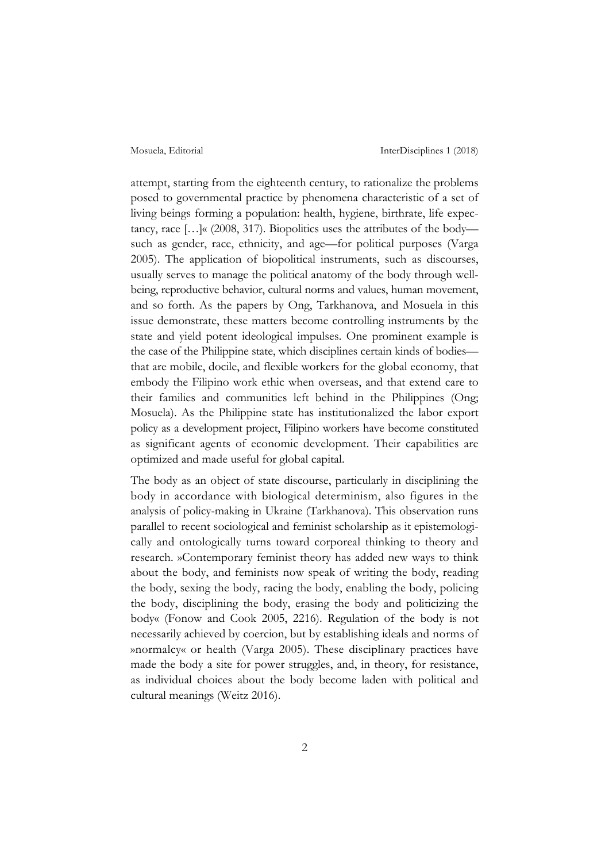attempt, starting from the eighteenth century, to rationalize the problems posed to governmental practice by phenomena characteristic of a set of living beings forming a population: health, hygiene, birthrate, life expectancy, race […]« (2008, 317). Biopolitics uses the attributes of the body such as gender, race, ethnicity, and age—for political purposes (Varga 2005). The application of biopolitical instruments, such as discourses, usually serves to manage the political anatomy of the body through wellbeing, reproductive behavior, cultural norms and values, human movement, and so forth. As the papers by Ong, Tarkhanova, and Mosuela in this issue demonstrate, these matters become controlling instruments by the state and yield potent ideological impulses. One prominent example is the case of the Philippine state, which disciplines certain kinds of bodies that are mobile, docile, and flexible workers for the global economy, that embody the Filipino work ethic when overseas, and that extend care to their families and communities left behind in the Philippines (Ong; Mosuela). As the Philippine state has institutionalized the labor export policy as a development project, Filipino workers have become constituted as significant agents of economic development. Their capabilities are optimized and made useful for global capital.

The body as an object of state discourse, particularly in disciplining the body in accordance with biological determinism, also figures in the analysis of policy-making in Ukraine (Tarkhanova). This observation runs parallel to recent sociological and feminist scholarship as it epistemologically and ontologically turns toward corporeal thinking to theory and research. »Contemporary feminist theory has added new ways to think about the body, and feminists now speak of writing the body, reading the body, sexing the body, racing the body, enabling the body, policing the body, disciplining the body, erasing the body and politicizing the body« (Fonow and Cook 2005, 2216). Regulation of the body is not necessarily achieved by coercion, but by establishing ideals and norms of »normalcy« or health (Varga 2005). These disciplinary practices have made the body a site for power struggles, and, in theory, for resistance, as individual choices about the body become laden with political and cultural meanings (Weitz 2016).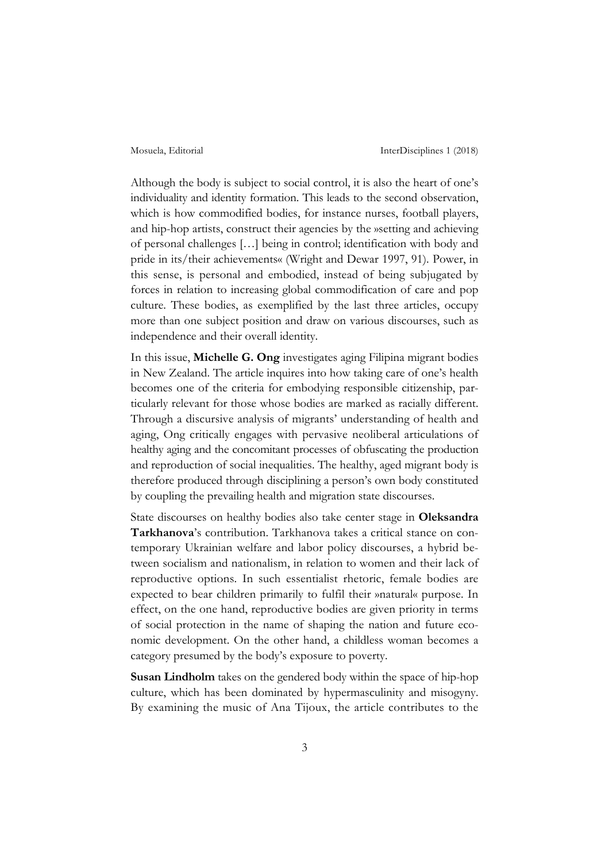Although the body is subject to social control, it is also the heart of one's individuality and identity formation. This leads to the second observation, which is how commodified bodies, for instance nurses, football players, and hip-hop artists, construct their agencies by the »setting and achieving of personal challenges […] being in control; identification with body and pride in its/their achievements« (Wright and Dewar 1997, 91). Power, in this sense, is personal and embodied, instead of being subjugated by forces in relation to increasing global commodification of care and pop culture. These bodies, as exemplified by the last three articles, occupy more than one subject position and draw on various discourses, such as independence and their overall identity.

In this issue, **Michelle G. Ong** investigates aging Filipina migrant bodies in New Zealand. The article inquires into how taking care of one's health becomes one of the criteria for embodying responsible citizenship, particularly relevant for those whose bodies are marked as racially different. Through a discursive analysis of migrants' understanding of health and aging, Ong critically engages with pervasive neoliberal articulations of healthy aging and the concomitant processes of obfuscating the production and reproduction of social inequalities. The healthy, aged migrant body is therefore produced through disciplining a person's own body constituted by coupling the prevailing health and migration state discourses.

State discourses on healthy bodies also take center stage in **Oleksandra Tarkhanova**'s contribution. Tarkhanova takes a critical stance on contemporary Ukrainian welfare and labor policy discourses, a hybrid between socialism and nationalism, in relation to women and their lack of reproductive options. In such essentialist rhetoric, female bodies are expected to bear children primarily to fulfil their »natural« purpose. In effect, on the one hand, reproductive bodies are given priority in terms of social protection in the name of shaping the nation and future economic development. On the other hand, a childless woman becomes a category presumed by the body's exposure to poverty.

**Susan Lindholm** takes on the gendered body within the space of hip-hop culture, which has been dominated by hypermasculinity and misogyny. By examining the music of Ana Tijoux, the article contributes to the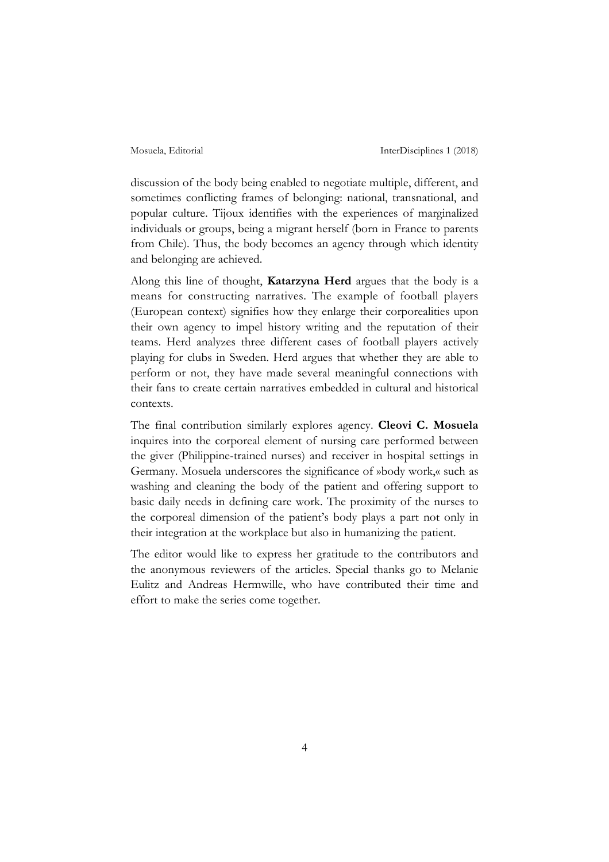discussion of the body being enabled to negotiate multiple, different, and sometimes conflicting frames of belonging: national, transnational, and popular culture. Tijoux identifies with the experiences of marginalized individuals or groups, being a migrant herself (born in France to parents from Chile). Thus, the body becomes an agency through which identity and belonging are achieved.

Along this line of thought, **Katarzyna Herd** argues that the body is a means for constructing narratives. The example of football players (European context) signifies how they enlarge their corporealities upon their own agency to impel history writing and the reputation of their teams. Herd analyzes three different cases of football players actively playing for clubs in Sweden. Herd argues that whether they are able to perform or not, they have made several meaningful connections with their fans to create certain narratives embedded in cultural and historical contexts.

The final contribution similarly explores agency. **Cleovi C. Mosuela** inquires into the corporeal element of nursing care performed between the giver (Philippine-trained nurses) and receiver in hospital settings in Germany. Mosuela underscores the significance of »body work,« such as washing and cleaning the body of the patient and offering support to basic daily needs in defining care work. The proximity of the nurses to the corporeal dimension of the patient's body plays a part not only in their integration at the workplace but also in humanizing the patient.

The editor would like to express her gratitude to the contributors and the anonymous reviewers of the articles. Special thanks go to Melanie Eulitz and Andreas Hermwille, who have contributed their time and effort to make the series come together.